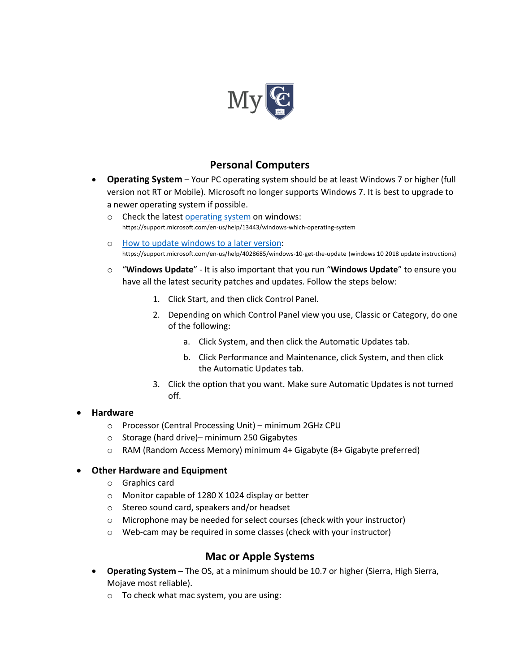

### **Personal Computers**

- **Operating System** Your PC operating system should be at least Windows 7 or higher (full version not RT or Mobile). Microsoft no longer supports Windows 7. It is best to upgrade to a newer operating system if possible.
	- o Check the latest operating system on windows: https://support.microsoft.com/en-us/help/13443/windows-which-operating-system
	- o How to update windows to a later version: https://support.microsoft.com/en-us/help/4028685/windows-10-get-the-update (windows 10 2018 update instructions)
	- o "**Windows Update**" It is also important that you run "**Windows Update**" to ensure you have all the latest security patches and updates. Follow the steps below:
		- 1. Click Start, and then click Control Panel.
		- 2. Depending on which Control Panel view you use, Classic or Category, do one of the following:
			- a. Click System, and then click the Automatic Updates tab.
			- b. Click Performance and Maintenance, click System, and then click the Automatic Updates tab.
		- 3. Click the option that you want. Make sure Automatic Updates is not turned off.

#### • **Hardware**

- o Processor (Central Processing Unit) minimum 2GHz CPU
- o Storage (hard drive)– minimum 250 Gigabytes
- o RAM (Random Access Memory) minimum 4+ Gigabyte (8+ Gigabyte preferred)

#### • **Other Hardware and Equipment**

- o Graphics card
- o Monitor capable of 1280 X 1024 display or better
- o Stereo sound card, speakers and/or headset
- o Microphone may be needed for select courses (check with your instructor)
- o Web-cam may be required in some classes (check with your instructor)

# **Mac or Apple Systems**

- **Operating System –** The OS, at a minimum should be 10.7 or higher (Sierra, High Sierra, Mojave most reliable).
	- o To check what mac system, you are using: